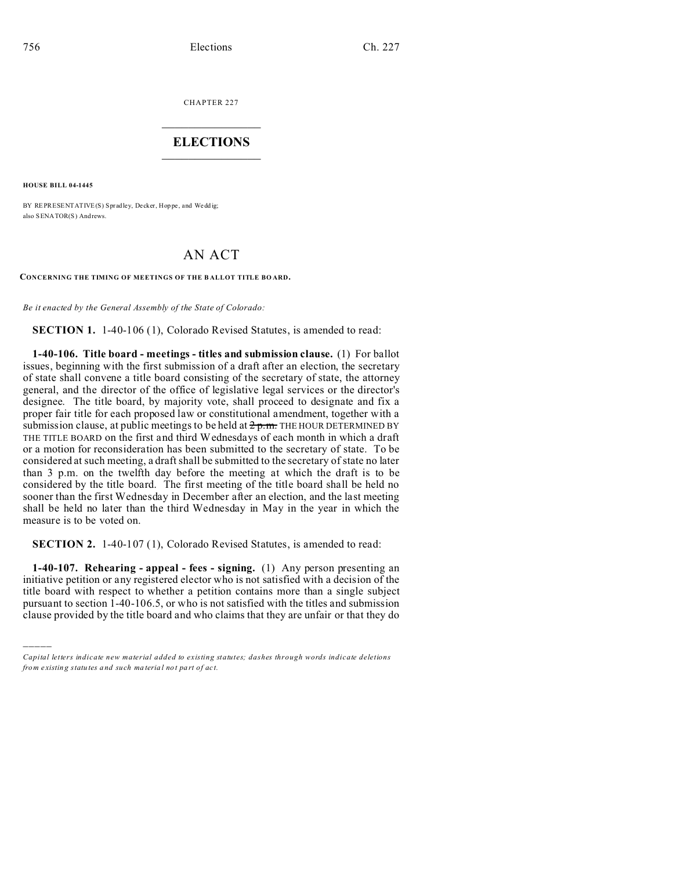CHAPTER 227  $\overline{\phantom{a}}$  , where  $\overline{\phantom{a}}$ 

## **ELECTIONS**  $\_$

**HOUSE BILL 04-1445**

)))))

BY REPRESENTATIVE(S) Spradley, Decker, Hoppe, and Weddig; also SENATOR(S) And rews.

## AN ACT

**CONCERNING THE TIMING OF MEETINGS OF THE B ALLOT TITLE BO ARD.**

*Be it enacted by the General Assembly of the State of Colorado:*

**SECTION 1.** 1-40-106 (1), Colorado Revised Statutes, is amended to read:

**1-40-106. Title board - meetings - titles and submission clause.** (1) For ballot issues, beginning with the first submission of a draft after an election, the secretary of state shall convene a title board consisting of the secretary of state, the attorney general, and the director of the office of legislative legal services or the director's designee. The title board, by majority vote, shall proceed to designate and fix a proper fair title for each proposed law or constitutional amendment, together with a submission clause, at public meetings to be held at  $2p.m.$  The HOUR DETERMINED BY THE TITLE BOARD on the first and third Wednesdays of each month in which a draft or a motion for reconsideration has been submitted to the secretary of state. To be considered at such meeting, a draft shall be submitted to the secretary of state no later than 3 p.m. on the twelfth day before the meeting at which the draft is to be considered by the title board. The first meeting of the title board shall be held no sooner than the first Wednesday in December after an election, and the last meeting shall be held no later than the third Wednesday in May in the year in which the measure is to be voted on.

**SECTION 2.** 1-40-107 (1), Colorado Revised Statutes, is amended to read:

**1-40-107. Rehearing - appeal - fees - signing.** (1) Any person presenting an initiative petition or any registered elector who is not satisfied with a decision of the title board with respect to whether a petition contains more than a single subject pursuant to section 1-40-106.5, or who is not satisfied with the titles and submission clause provided by the title board and who claims that they are unfair or that they do

*Capital letters indicate new material added to existing statutes; dashes through words indicate deletions from e xistin g statu tes a nd such ma teria l no t pa rt of ac t.*